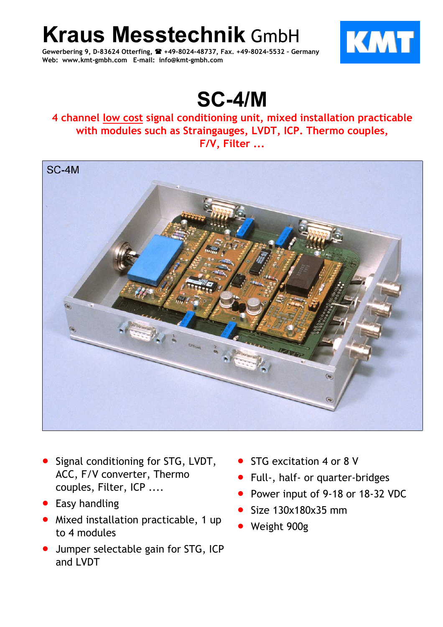**Kraus Messtechnik** GmbH

**Gewerbering 9, D-83624 Otterfing, +49-8024-48737, Fax. +49-8024-5532 – Germany Web: www.kmt-gmbh.com E-mail: info@kmt-gmbh.com**



## **SC-4/M**

## **4 channel low cost signal conditioning unit, mixed installation practicable with modules such as Straingauges, LVDT, ICP. Thermo couples, F/V, Filter ...**



- Signal conditioning for STG, LVDT, ACC, F/V converter, Thermo couples, Filter, ICP ....
- Easy handling
- Mixed installation practicable, 1 up to 4 modules
- Jumper selectable gain for STG, ICP and LVDT
- STG excitation 4 or 8 V
- Full-, half- or quarter-bridges
- Power input of 9-18 or 18-32 VDC
- Size 130x180x35 mm
- Weight 900g